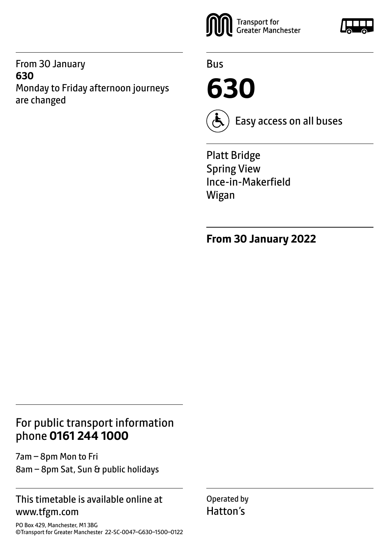From 30 January **630** Monday to Friday afternoon journeys are changed



Bus

**630**



Easy access on all buses

Platt Bridge Spring View Ince-in-Makerfield Wigan

**From 30 January 2022**

#### For public transport information phone **0161 244 1000**

7am – 8pm Mon to Fri 8am – 8pm Sat, Sun & public holidays

#### This timetable is available online at www.tfgm.com

PO Box 429, Manchester, M1 3BG ©Transport for Greater Manchester 22-SC-0047–G630–1500–0122 Operated by Hatton's

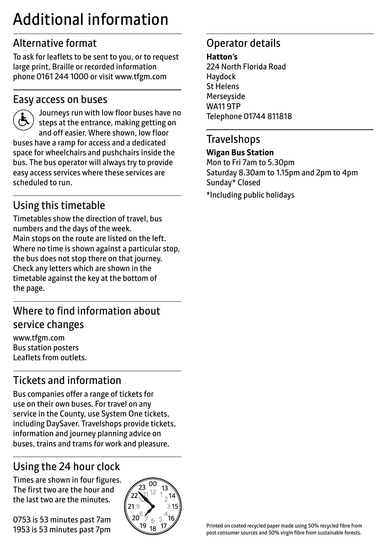# Additional information

### Alternative format

To ask for leaflets to be sent to you, or to request large print, Braille or recorded information phone 0161 244 1000 or visit www.tfgm.com

#### Easy access on buses



 Journeys run with low floor buses have no steps at the entrance, making getting on and off easier. Where shown, low floor buses have a ramp for access and a dedicated space for wheelchairs and pushchairs inside the bus. The bus operator will always try to provide easy access services where these services are scheduled to run.

### Using this timetable

Timetables show the direction of travel, bus numbers and the days of the week. Main stops on the route are listed on the left. Where no time is shown against a particular stop, the bus does not stop there on that journey. Check any letters which are shown in the timetable against the key at the bottom of the page.

### Where to find information about service changes

www.tfgm.com Bus station posters Leaflets from outlets.

# Tickets and information

Bus companies offer a range of tickets for use on their own buses. For travel on any service in the County, use System One tickets, including DaySaver. Travelshops provide tickets, information and journey planning advice on buses, trains and trams for work and pleasure.

# Using the 24 hour clock

Times are shown in four figures. The first two are the hour and the last two are the minutes.

0753 is 53 minutes past 7am 1953 is 53 minutes past 7pm



#### Operator details

#### **Hatton's**

224 North Florida Road Haydock St Helens **Merseyside** WA11 9TP Telephone 01744 811818

#### **Travelshops**

#### **Wigan Bus Station**

Mon to Fri 7am to 5.30pm Saturday 8.30am to 1.15pm and 2pm to 4pm Sunday\* Closed

\*Including public holidays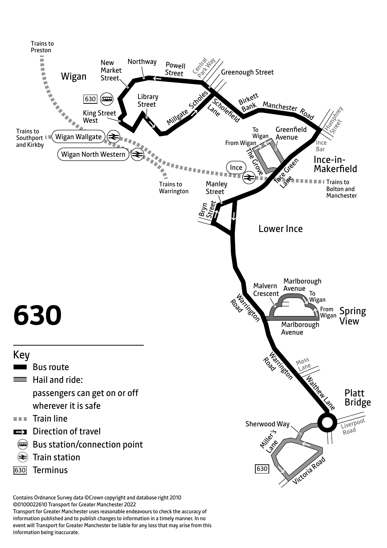

©0100022610 Transport for Greater Manchester 2022

Transport for Greater Manchester uses reasonable endeavours to check the accuracy of information published and to publish changes to information in a timely manner. In no event will Transport for Greater Manchester be liable for any loss that may arise from this information being inaccurate.